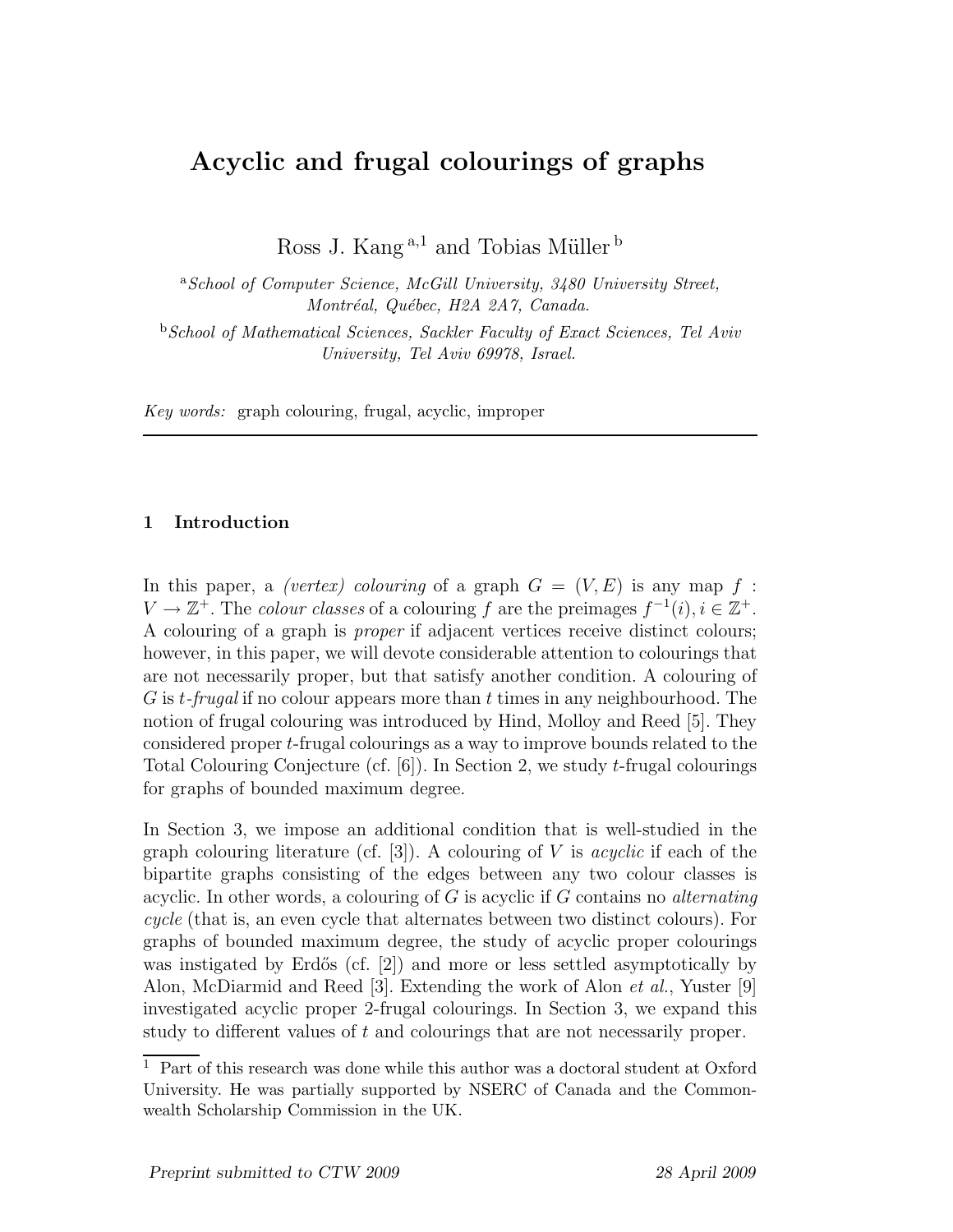# Acyclic and frugal colourings of graphs

Ross J. Kang  $a,1}$  and Tobias Müller  $^b$ 

<sup>a</sup>*School of Computer Science, McGill University, 3480 University Street, Montr´eal, Qu´ebec, H2A 2A7, Canada.*

<sup>b</sup>*School of Mathematical Sciences, Sackler Faculty of Exact Sciences, Tel Aviv University, Tel Aviv 69978, Israel.*

*Key words:* graph colouring, frugal, acyclic, improper

# 1 Introduction

In this paper, a *(vertex) colouring* of a graph  $G = (V, E)$  is any map f:  $V \to \mathbb{Z}^+$ . The *colour classes* of a colouring f are the preimages  $f^{-1}(i), i \in \mathbb{Z}^+$ . A colouring of a graph is *proper* if adjacent vertices receive distinct colours; however, in this paper, we will devote considerable attention to colourings that are not necessarily proper, but that satisfy another condition. A colouring of G is t*-frugal* if no colour appears more than t times in any neighbourhood. The notion of frugal colouring was introduced by Hind, Molloy and Reed [5]. They considered proper t-frugal colourings as a way to improve bounds related to the Total Colouring Conjecture (cf. [6]). In Section 2, we study t-frugal colourings for graphs of bounded maximum degree.

In Section 3, we impose an additional condition that is well-studied in the graph colouring literature (cf. [3]). A colouring of V is *acyclic* if each of the bipartite graphs consisting of the edges between any two colour classes is acyclic. In other words, a colouring of G is acyclic if G contains no *alternating cycle* (that is, an even cycle that alternates between two distinct colours). For graphs of bounded maximum degree, the study of acyclic proper colourings was instigated by Erdős (cf.  $[2]$ ) and more or less settled asymptotically by Alon, McDiarmid and Reed [3]. Extending the work of Alon *et al.*, Yuster [9] investigated acyclic proper 2-frugal colourings. In Section 3, we expand this study to different values of t and colourings that are not necessarily proper.

 $\overline{1}$  Part of this research was done while this author was a doctoral student at Oxford University. He was partially supported by NSERC of Canada and the Commonwealth Scholarship Commission in the UK.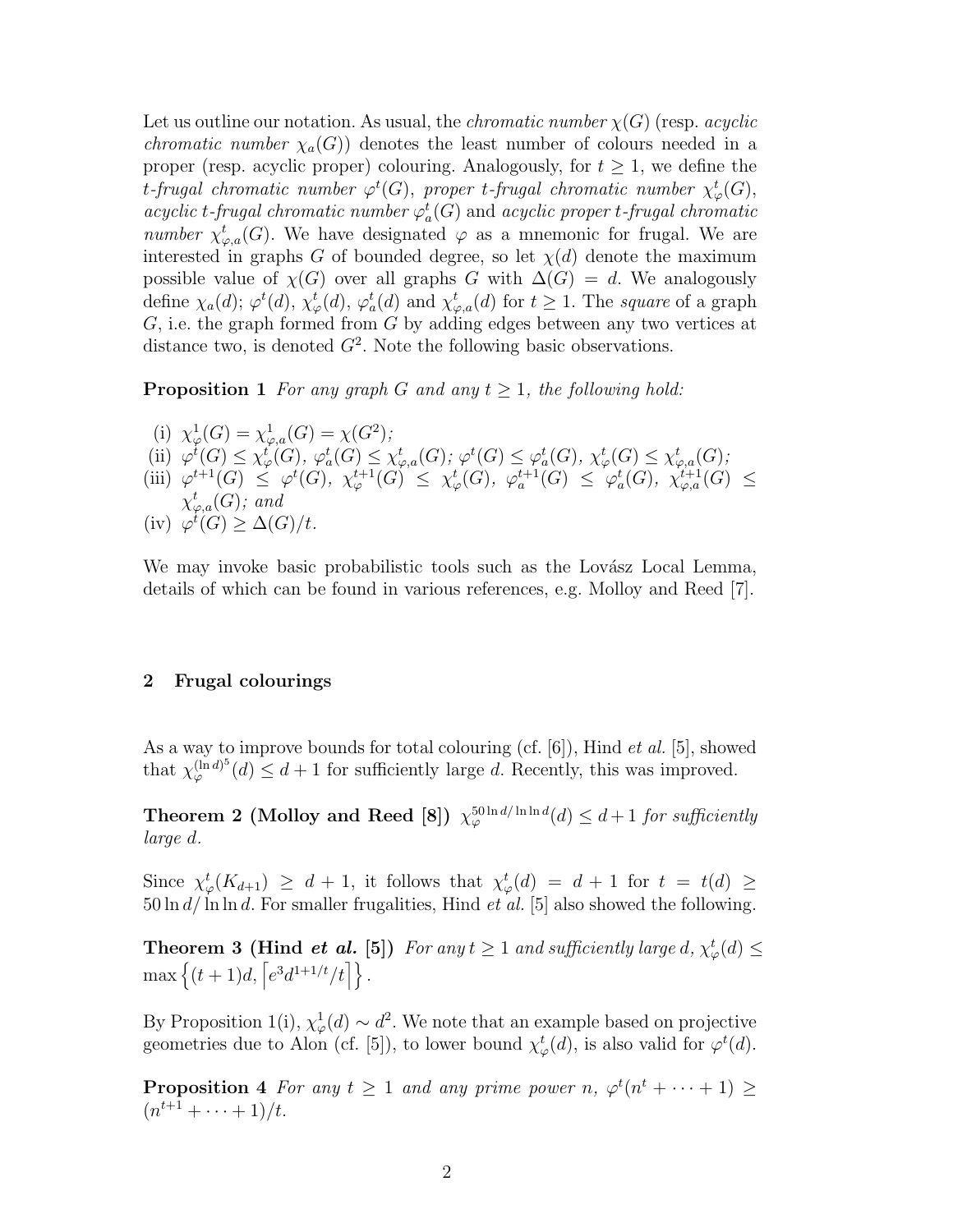Let us outline our notation. As usual, the *chromatic number*  $\chi(G)$  (resp. *acyclic chromatic number*  $\chi_a(G)$  denotes the least number of colours needed in a proper (resp. acyclic proper) colouring. Analogously, for  $t \geq 1$ , we define the  $t$ *-frugal chromatic number*  $\varphi^t(G)$ , *proper*  $t$ *-frugal chromatic number*  $\chi^t_\varphi(G)$ , *acyclic t-frugal chromatic number*  $\varphi_a^t(G)$  and *acyclic proper t-frugal chromatic number*  $\chi^t_{\varphi,a}(G)$ . We have designated  $\varphi$  as a mnemonic for frugal. We are interested in graphs G of bounded degree, so let  $\chi(d)$  denote the maximum possible value of  $\chi(G)$  over all graphs G with  $\Delta(G) = d$ . We analogously define  $\chi_a(d)$ ;  $\varphi^t(d)$ ,  $\chi^t_\varphi(d)$ ,  $\varphi^t_a(d)$  and  $\chi^t_{\varphi,a}(d)$  for  $t \ge 1$ . The *square* of a graph  $G$ , i.e. the graph formed from  $G$  by adding edges between any two vertices at distance two, is denoted  $G^2$ . Note the following basic observations.

**Proposition 1** For any graph G and any  $t \geq 1$ , the following hold:

(i)  $\chi^1_\varphi(G) = \chi^1_{\varphi,a}(G) = \chi(G^2);$ (ii)  $\varphi^t(G) \leq \chi^t_\varphi(G), \varphi^t_a(G) \leq \chi^t_{\varphi,a}(G); \varphi^t(G) \leq \varphi^t_a(G), \chi^t_\varphi(G) \leq \chi^t_{\varphi,a}(G);$ (iii)  $\varphi^{t+1}(G) \leq \varphi^t(G), \chi^{t+1}_{\varphi}(G) \leq \chi^t_{\varphi}(G), \varphi^{t+1}_{a}(G) \leq \varphi^t_{a}(G), \chi^{t+1}_{\varphi,a}(G) \leq$  $\chi_{\varphi,a}^t(G)$ *;* and (iv)  $\varphi^t(G) \geq \Delta(G)/t$ .

We may invoke basic probabilistic tools such as the Lovász Local Lemma, details of which can be found in various references, e.g. Molloy and Reed [7].

#### 2 Frugal colourings

As a way to improve bounds for total colouring (cf. [6]), Hind *et al.* [5], showed that  $\chi_{\varphi}^{(\ln d)^5}$  $\int_{\varphi}^{(\ln d)^{\circ}}(d) \leq d+1$  for sufficiently large d. Recently, this was improved.

Theorem 2 (Molloy and Reed [8])  $\chi_{\varphi}^{50\ln d/\ln\ln d}(d) \leq d+1$  for sufficiently *large* d*.*

Since  $\chi^t_\varphi(K_{d+1}) \geq d+1$ , it follows that  $\chi^t_\varphi(d) = d+1$  for  $t = t(d) \geq$ 50 ln d/ ln ln d. For smaller frugalities, Hind *et al.* [5] also showed the following.

**Theorem 3 (Hind** *et al.* [5]) *For any*  $t \geq 1$  *and sufficiently large d,*  $\chi^t_{\varphi}(d) \leq$  $\max\left\{(t+1)d, \left[e^3d^{1+1/t}/t\right]\right\}.$ 

By Proposition 1(i),  $\chi^1_\varphi(d) \sim d^2$ . We note that an example based on projective geometries due to Alon (cf. [5]), to lower bound  $\chi^t_\varphi(d)$ , is also valid for  $\varphi^t(d)$ .

**Proposition 4** For any  $t \ge 1$  and any prime power n,  $\varphi^t(n^t + \cdots + 1) \ge$  $(n^{t+1} + \cdots + 1)/t$ .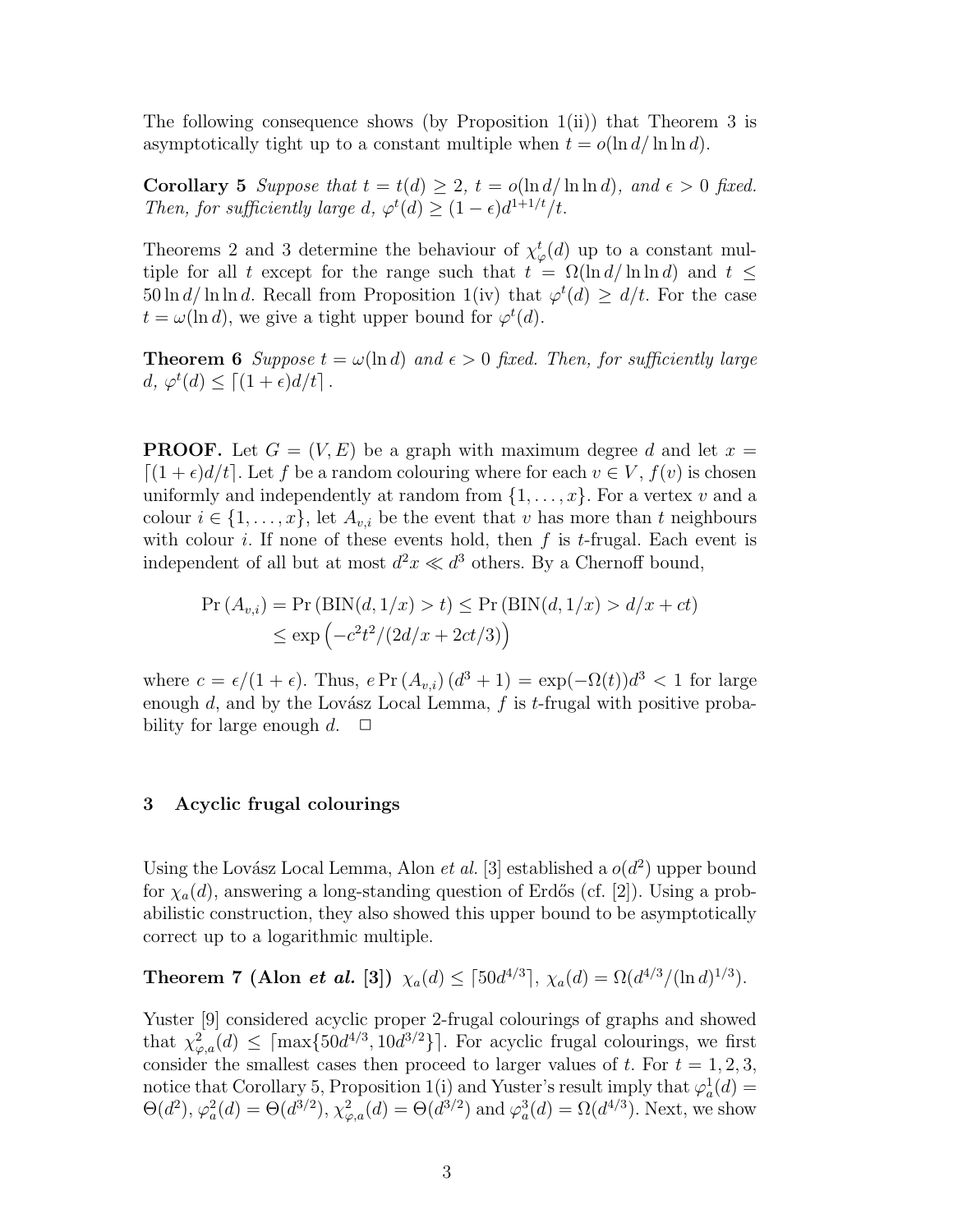The following consequence shows (by Proposition 1(ii)) that Theorem 3 is asymptotically tight up to a constant multiple when  $t = o(\ln d / \ln \ln d)$ .

**Corollary 5** Suppose that  $t = t(d) \geq 2$ ,  $t = o(\ln d / \ln \ln d)$ , and  $\epsilon > 0$  fixed. *Then, for sufficiently large d,*  $\varphi^t(d) \geq (1 - \epsilon) d^{1+1/t}/t$ .

Theorems 2 and 3 determine the behaviour of  $\chi^t_\varphi(d)$  up to a constant multiple for all t except for the range such that  $t = \Omega(\ln d / \ln \ln d)$  and  $t \le$  $50 \ln d / \ln \ln d$ . Recall from Proposition 1(iv) that  $\varphi^t(d) \geq d/t$ . For the case  $t = \omega(\ln d)$ , we give a tight upper bound for  $\varphi^t(d)$ .

**Theorem 6** *Suppose*  $t = \omega(\ln d)$  *and*  $\epsilon > 0$  *fixed. Then, for sufficiently large*  $d, \varphi^t(d) \leq \lceil (1+\epsilon)d/t \rceil$ .

**PROOF.** Let  $G = (V, E)$  be a graph with maximum degree d and let  $x =$  $[(1+\epsilon)d/t]$ . Let f be a random colouring where for each  $v \in V$ ,  $f(v)$  is chosen uniformly and independently at random from  $\{1, \ldots, x\}$ . For a vertex v and a colour  $i \in \{1, \ldots, x\}$ , let  $A_{v,i}$  be the event that v has more than t neighbours with colour i. If none of these events hold, then  $f$  is  $t$ -frugal. Each event is independent of all but at most  $d^2x \ll d^3$  others. By a Chernoff bound,

$$
\Pr(A_{v,i}) = \Pr\left(\text{BIN}(d, 1/x) > t\right) \le \Pr\left(\text{BIN}(d, 1/x) > d/x + ct\right)
$$
\n
$$
\le \exp\left(-c^2t^2/(2d/x + 2ct/3)\right)
$$

where  $c = \epsilon/(1 + \epsilon)$ . Thus,  $e \Pr(A_{v,i}) (d^3 + 1) = \exp(-\Omega(t))d^3 < 1$  for large enough  $d$ , and by the Lovász Local Lemma,  $f$  is  $t$ -frugal with positive probability for large enough  $d. \square$ 

## 3 Acyclic frugal colourings

Using the Lovász Local Lemma, Alon *et al.* [3] established a  $o(d^2)$  upper bound for  $\chi_a(d)$ , answering a long-standing question of Erdős (cf. [2]). Using a probabilistic construction, they also showed this upper bound to be asymptotically correct up to a logarithmic multiple.

Theorem 7 (Alon *et al.* [3])  $\chi_a(d) \leq \lceil 50d^{4/3} \rceil$ ,  $\chi_a(d) = \Omega(d^{4/3}/(\ln d)^{1/3})$ .

Yuster [9] considered acyclic proper 2-frugal colourings of graphs and showed that  $\chi^2_{\varphi,a}(d) \leq \lceil \max\{50d^{4/3}, 10d^{3/2}\}\rceil$ . For acyclic frugal colourings, we first consider the smallest cases then proceed to larger values of  $t$ . For  $t = 1, 2, 3$ , notice that Corollary 5, Proposition 1(i) and Yuster's result imply that  $\varphi_a^1(d) =$  $\Theta(d^2), \varphi_a^2(d) = \Theta(d^{3/2}), \chi_{\varphi,a}^2(d) = \Theta(d^{3/2})$  and  $\varphi_a^3(d) = \Omega(d^{4/3})$ . Next, we show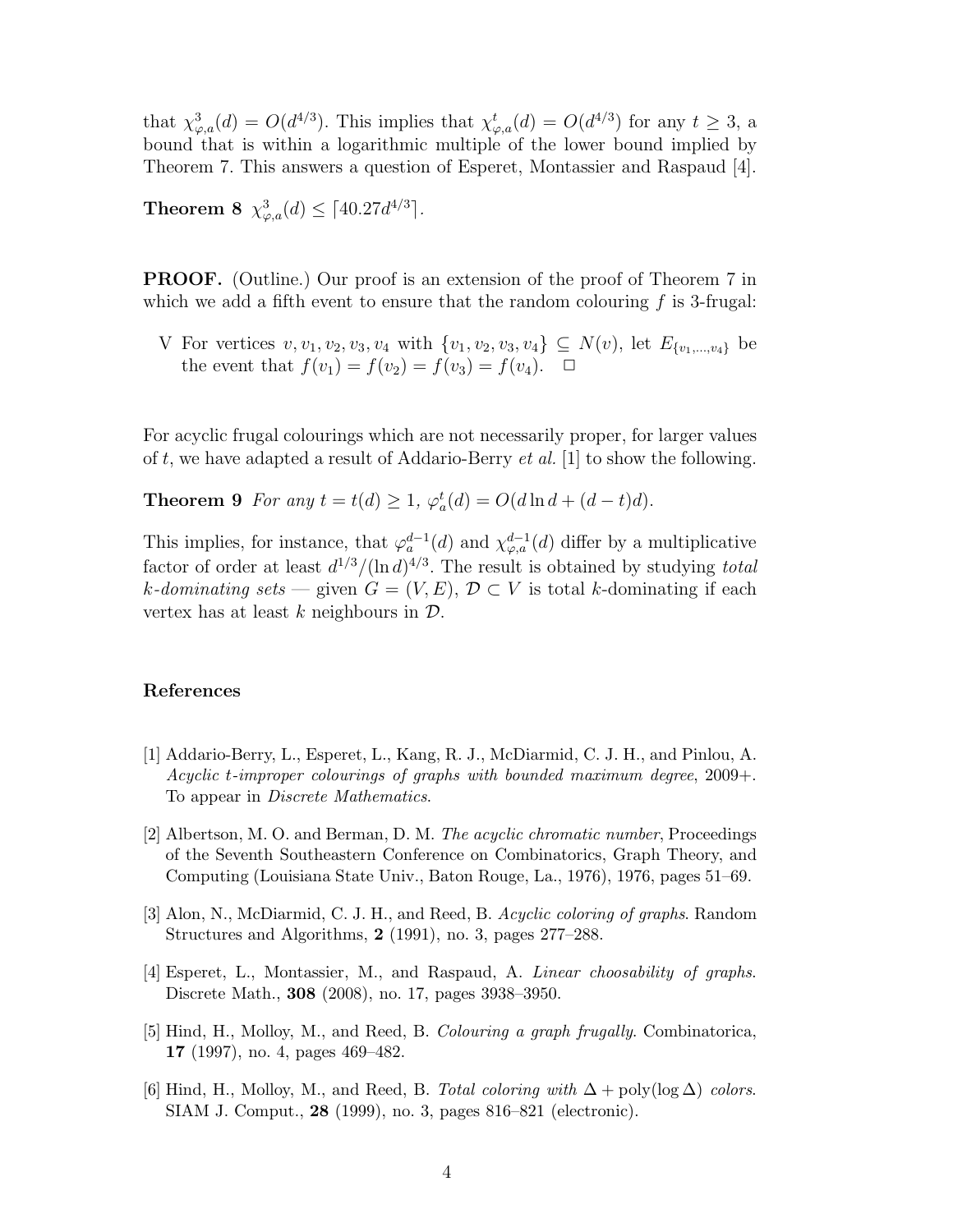that  $\chi^3_{\varphi,a}(d) = O(d^{4/3})$ . This implies that  $\chi^t_{\varphi,a}(d) = O(d^{4/3})$  for any  $t \geq 3$ , a bound that is within a logarithmic multiple of the lower bound implied by Theorem 7. This answers a question of Esperet, Montassier and Raspaud [4].

Theorem 8  $\chi^3_{\varphi,a}(d) \leq \lceil 40.27d^{4/3} \rceil$ .

**PROOF.** (Outline.) Our proof is an extension of the proof of Theorem 7 in which we add a fifth event to ensure that the random colouring  $f$  is 3-frugal:

V For vertices  $v, v_1, v_2, v_3, v_4$  with  $\{v_1, v_2, v_3, v_4\} \subseteq N(v)$ , let  $E_{\{v_1,...,v_4\}}$  be the event that  $f(v_1) = f(v_2) = f(v_3) = f(v_4)$ .  $\Box$ 

For acyclic frugal colourings which are not necessarily proper, for larger values of t, we have adapted a result of Addario-Berry *et al.* [1] to show the following.

**Theorem 9** *For any*  $t = t(d) \ge 1$ ,  $\varphi_a^t(d) = O(d \ln d + (d - t)d)$ .

This implies, for instance, that  $\varphi_a^{d-1}(d)$  and  $\chi_{\varphi,a}^{d-1}(d)$  differ by a multiplicative factor of order at least  $d^{1/3} / (\ln d)^{4/3}$ . The result is obtained by studying *total* k-dominating sets — given  $G = (V, E)$ ,  $\mathcal{D} \subset V$  is total k-dominating if each vertex has at least  $k$  neighbours in  $\mathcal{D}$ .

## References

- [1] Addario-Berry, L., Esperet, L., Kang, R. J., McDiarmid, C. J. H., and Pinlou, A. *Acyclic* t*-improper colourings of graphs with bounded maximum degree*, 2009+. To appear in *Discrete Mathematics*.
- [2] Albertson, M. O. and Berman, D. M. *The acyclic chromatic number*, Proceedings of the Seventh Southeastern Conference on Combinatorics, Graph Theory, and Computing (Louisiana State Univ., Baton Rouge, La., 1976), 1976, pages 51–69.
- [3] Alon, N., McDiarmid, C. J. H., and Reed, B. *Acyclic coloring of graphs*. Random Structures and Algorithms, 2 (1991), no. 3, pages 277–288.
- [4] Esperet, L., Montassier, M., and Raspaud, A. *Linear choosability of graphs*. Discrete Math., 308 (2008), no. 17, pages 3938–3950.
- [5] Hind, H., Molloy, M., and Reed, B. *Colouring a graph frugally*. Combinatorica, 17 (1997), no. 4, pages 469–482.
- [6] Hind, H., Molloy, M., and Reed, B. *Total coloring with* ∆ + poly(log ∆) *colors*. SIAM J. Comput., 28 (1999), no. 3, pages 816–821 (electronic).